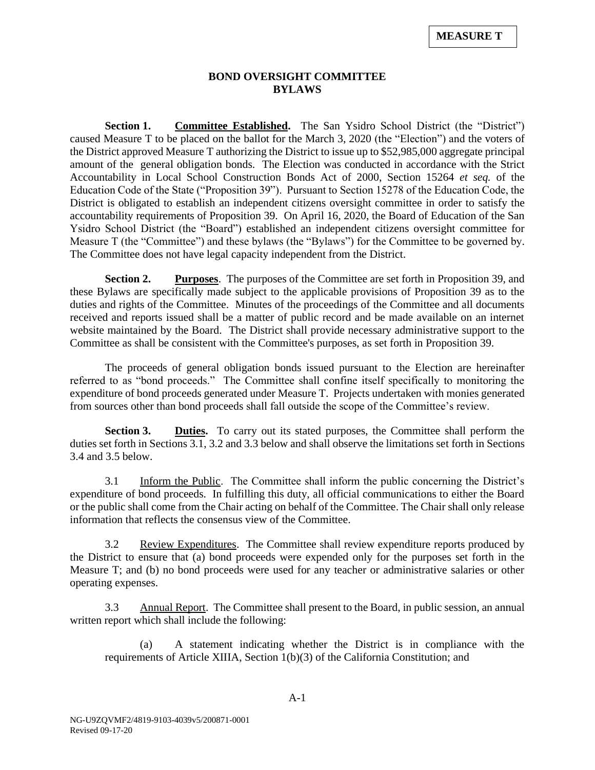## **BOND OVERSIGHT COMMITTEE BYLAWS**

**Section 1. Committee Established.** The San Ysidro School District (the "District") caused Measure T to be placed on the ballot for the March 3, 2020 (the "Election") and the voters of the District approved Measure T authorizing the District to issue up to \$52,985,000 aggregate principal amount of the general obligation bonds. The Election was conducted in accordance with the Strict Accountability in Local School Construction Bonds Act of 2000, Section 15264 *et seq.* of the Education Code of the State ("Proposition 39"). Pursuant to Section 15278 of the Education Code, the District is obligated to establish an independent citizens oversight committee in order to satisfy the accountability requirements of Proposition 39. On April 16, 2020, the Board of Education of the San Ysidro School District (the "Board") established an independent citizens oversight committee for Measure T (the "Committee") and these bylaws (the "Bylaws") for the Committee to be governed by. The Committee does not have legal capacity independent from the District.

**Section 2. Purposes**. The purposes of the Committee are set forth in Proposition 39, and these Bylaws are specifically made subject to the applicable provisions of Proposition 39 as to the duties and rights of the Committee. Minutes of the proceedings of the Committee and all documents received and reports issued shall be a matter of public record and be made available on an internet website maintained by the Board. The District shall provide necessary administrative support to the Committee as shall be consistent with the Committee's purposes, as set forth in Proposition 39.

The proceeds of general obligation bonds issued pursuant to the Election are hereinafter referred to as "bond proceeds." The Committee shall confine itself specifically to monitoring the expenditure of bond proceeds generated under Measure T. Projects undertaken with monies generated from sources other than bond proceeds shall fall outside the scope of the Committee's review.

**Section 3. Duties.** To carry out its stated purposes, the Committee shall perform the duties set forth in Sections 3.1, 3.2 and 3.3 below and shall observe the limitations set forth in Sections 3.4 and 3.5 below.

3.1 Inform the Public. The Committee shall inform the public concerning the District's expenditure of bond proceeds. In fulfilling this duty, all official communications to either the Board or the public shall come from the Chair acting on behalf of the Committee. The Chair shall only release information that reflects the consensus view of the Committee.

3.2 Review Expenditures. The Committee shall review expenditure reports produced by the District to ensure that (a) bond proceeds were expended only for the purposes set forth in the Measure T; and (b) no bond proceeds were used for any teacher or administrative salaries or other operating expenses.

3.3 Annual Report. The Committee shall present to the Board, in public session, an annual written report which shall include the following:

(a) A statement indicating whether the District is in compliance with the requirements of Article XIIIA, Section 1(b)(3) of the California Constitution; and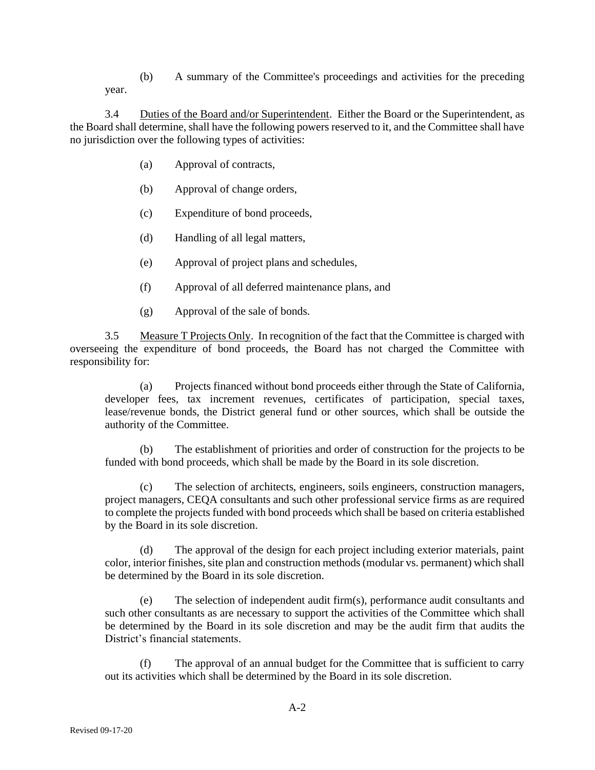(b) A summary of the Committee's proceedings and activities for the preceding year.

3.4 Duties of the Board and/or Superintendent. Either the Board or the Superintendent, as the Board shall determine, shall have the following powers reserved to it, and the Committee shall have no jurisdiction over the following types of activities:

- (a) Approval of contracts,
- (b) Approval of change orders,
- (c) Expenditure of bond proceeds,
- (d) Handling of all legal matters,
- (e) Approval of project plans and schedules,
- (f) Approval of all deferred maintenance plans, and
- (g) Approval of the sale of bonds.

3.5 Measure T Projects Only. In recognition of the fact that the Committee is charged with overseeing the expenditure of bond proceeds, the Board has not charged the Committee with responsibility for:

(a) Projects financed without bond proceeds either through the State of California, developer fees, tax increment revenues, certificates of participation, special taxes, lease/revenue bonds, the District general fund or other sources, which shall be outside the authority of the Committee.

The establishment of priorities and order of construction for the projects to be funded with bond proceeds, which shall be made by the Board in its sole discretion.

The selection of architects, engineers, soils engineers, construction managers, project managers, CEQA consultants and such other professional service firms as are required to complete the projects funded with bond proceeds which shall be based on criteria established by the Board in its sole discretion.

(d) The approval of the design for each project including exterior materials, paint color, interior finishes, site plan and construction methods (modular vs. permanent) which shall be determined by the Board in its sole discretion.

(e) The selection of independent audit firm(s), performance audit consultants and such other consultants as are necessary to support the activities of the Committee which shall be determined by the Board in its sole discretion and may be the audit firm that audits the District's financial statements.

(f) The approval of an annual budget for the Committee that is sufficient to carry out its activities which shall be determined by the Board in its sole discretion.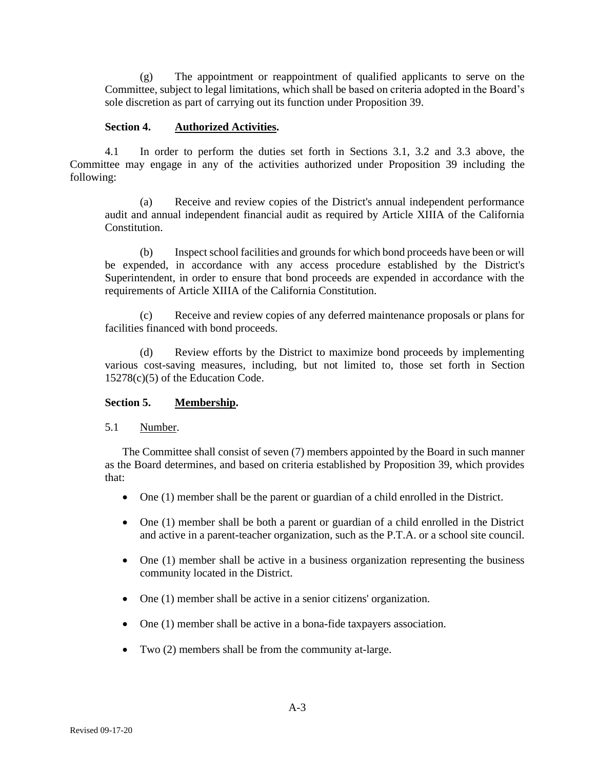(g) The appointment or reappointment of qualified applicants to serve on the Committee, subject to legal limitations, which shall be based on criteria adopted in the Board's sole discretion as part of carrying out its function under Proposition 39.

### **Section 4. Authorized Activities.**

4.1 In order to perform the duties set forth in Sections 3.1, 3.2 and 3.3 above, the Committee may engage in any of the activities authorized under Proposition 39 including the following:

(a) Receive and review copies of the District's annual independent performance audit and annual independent financial audit as required by Article XIIIA of the California Constitution.

(b) Inspect school facilities and grounds for which bond proceeds have been or will be expended, in accordance with any access procedure established by the District's Superintendent, in order to ensure that bond proceeds are expended in accordance with the requirements of Article XIIIA of the California Constitution.

(c) Receive and review copies of any deferred maintenance proposals or plans for facilities financed with bond proceeds.

(d) Review efforts by the District to maximize bond proceeds by implementing various cost-saving measures, including, but not limited to, those set forth in Section 15278(c)(5) of the Education Code.

#### **Section 5. Membership.**

#### 5.1 Number.

The Committee shall consist of seven (7) members appointed by the Board in such manner as the Board determines, and based on criteria established by Proposition 39, which provides that:

- One (1) member shall be the parent or guardian of a child enrolled in the District.
- One (1) member shall be both a parent or guardian of a child enrolled in the District and active in a parent-teacher organization, such as the P.T.A. or a school site council.
- One (1) member shall be active in a business organization representing the business community located in the District.
- One (1) member shall be active in a senior citizens' organization.
- One (1) member shall be active in a bona-fide taxpayers association.
- Two (2) members shall be from the community at-large.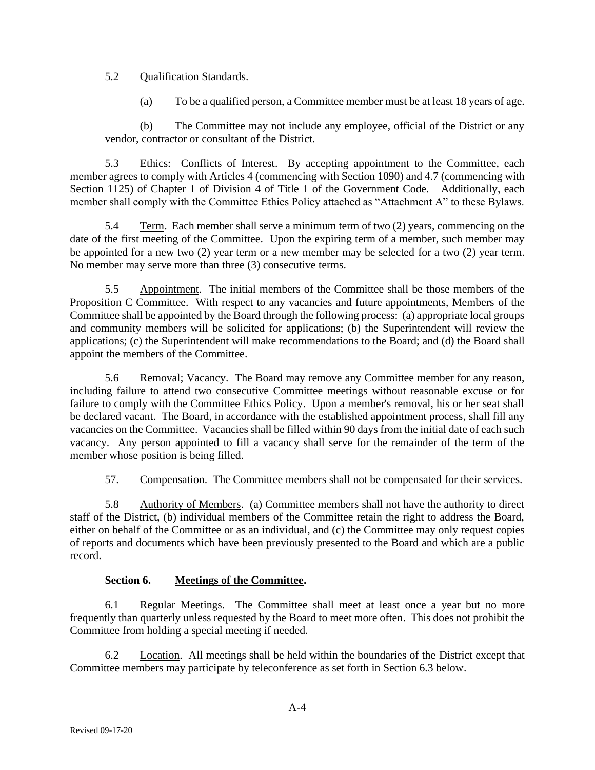### 5.2 Qualification Standards.

(a) To be a qualified person, a Committee member must be at least 18 years of age.

(b) The Committee may not include any employee, official of the District or any vendor, contractor or consultant of the District.

5.3 Ethics: Conflicts of Interest. By accepting appointment to the Committee, each member agrees to comply with Articles 4 (commencing with Section 1090) and 4.7 (commencing with Section 1125) of Chapter 1 of Division 4 of Title 1 of the Government Code. Additionally, each member shall comply with the Committee Ethics Policy attached as "Attachment A" to these Bylaws.

5.4 Term. Each member shall serve a minimum term of two (2) years, commencing on the date of the first meeting of the Committee. Upon the expiring term of a member, such member may be appointed for a new two (2) year term or a new member may be selected for a two (2) year term. No member may serve more than three (3) consecutive terms.

5.5 Appointment. The initial members of the Committee shall be those members of the Proposition C Committee. With respect to any vacancies and future appointments, Members of the Committee shall be appointed by the Board through the following process: (a) appropriate local groups and community members will be solicited for applications; (b) the Superintendent will review the applications; (c) the Superintendent will make recommendations to the Board; and (d) the Board shall appoint the members of the Committee.

5.6 Removal; Vacancy. The Board may remove any Committee member for any reason, including failure to attend two consecutive Committee meetings without reasonable excuse or for failure to comply with the Committee Ethics Policy. Upon a member's removal, his or her seat shall be declared vacant. The Board, in accordance with the established appointment process, shall fill any vacancies on the Committee. Vacancies shall be filled within 90 days from the initial date of each such vacancy. Any person appointed to fill a vacancy shall serve for the remainder of the term of the member whose position is being filled.

57. Compensation. The Committee members shall not be compensated for their services.

5.8 Authority of Members. (a) Committee members shall not have the authority to direct staff of the District, (b) individual members of the Committee retain the right to address the Board, either on behalf of the Committee or as an individual, and (c) the Committee may only request copies of reports and documents which have been previously presented to the Board and which are a public record.

## **Section 6. Meetings of the Committee.**

6.1 Regular Meetings. The Committee shall meet at least once a year but no more frequently than quarterly unless requested by the Board to meet more often. This does not prohibit the Committee from holding a special meeting if needed.

6.2 Location. All meetings shall be held within the boundaries of the District except that Committee members may participate by teleconference as set forth in Section 6.3 below.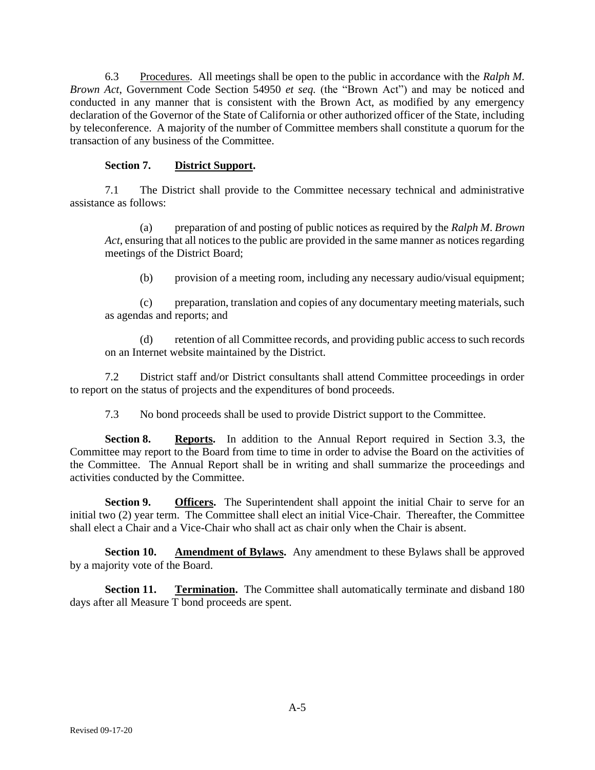6.3 Procedures. All meetings shall be open to the public in accordance with the *Ralph M. Brown Act*, Government Code Section 54950 *et seq.* (the "Brown Act") and may be noticed and conducted in any manner that is consistent with the Brown Act, as modified by any emergency declaration of the Governor of the State of California or other authorized officer of the State, including by teleconference. A majority of the number of Committee members shall constitute a quorum for the transaction of any business of the Committee.

### **Section 7. District Support.**

7.1 The District shall provide to the Committee necessary technical and administrative assistance as follows:

(a) preparation of and posting of public notices as required by the *Ralph M*. *Brown Act*, ensuring that all notices to the public are provided in the same manner as notices regarding meetings of the District Board;

(b) provision of a meeting room, including any necessary audio/visual equipment;

(c) preparation, translation and copies of any documentary meeting materials, such as agendas and reports; and

(d) retention of all Committee records, and providing public access to such records on an Internet website maintained by the District.

7.2 District staff and/or District consultants shall attend Committee proceedings in order to report on the status of projects and the expenditures of bond proceeds.

7.3 No bond proceeds shall be used to provide District support to the Committee.

**Section 8. Reports.** In addition to the Annual Report required in Section 3.3, the Committee may report to the Board from time to time in order to advise the Board on the activities of the Committee. The Annual Report shall be in writing and shall summarize the proceedings and activities conducted by the Committee.

**Section 9. Officers.** The Superintendent shall appoint the initial Chair to serve for an initial two (2) year term. The Committee shall elect an initial Vice-Chair. Thereafter, the Committee shall elect a Chair and a Vice-Chair who shall act as chair only when the Chair is absent.

**Section 10. Amendment of Bylaws.** Any amendment to these Bylaws shall be approved by a majority vote of the Board.

**Section 11. Termination.** The Committee shall automatically terminate and disband 180 days after all Measure T bond proceeds are spent.